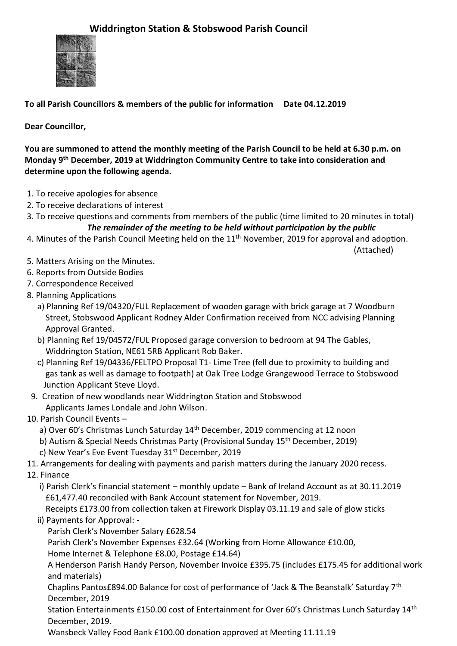

**To all Parish Councillors & members of the public for information Date 04.12.2019**

**Dear Councillor,**

**You are summoned to attend the monthly meeting of the Parish Council to be held at 6.30 p.m. on Monday 9 th December, 2019 at Widdrington Community Centre to take into consideration and determine upon the following agenda.**

- 1. To receive apologies for absence
- 2. To receive declarations of interest
- 3. To receive questions and comments from members of the public (time limited to 20 minutes in total)

## *The remainder of the meeting to be held without participation by the public*

4. Minutes of the Parish Council Meeting held on the 11<sup>th</sup> November, 2019 for approval and adoption.

(Attached)

- 5. Matters Arising on the Minutes.
- 6. Reports from Outside Bodies
- 7. Correspondence Received
- 8. Planning Applications
	- a) Planning Ref 19/04320/FUL Replacement of wooden garage with brick garage at 7 Woodburn Street, Stobswood Applicant Rodney Alder Confirmation received from NCC advising Planning Approval Granted.
	- b) Planning Ref 19/04572/FUL Proposed garage conversion to bedroom at 94 The Gables, Widdrington Station, NE61 5RB Applicant Rob Baker.
	- c) Planning Ref 19/04336/FELTPO Proposal T1- Lime Tree (fell due to proximity to building and gas tank as well as damage to footpath) at Oak Tree Lodge Grangewood Terrace to Stobswood Junction Applicant Steve Lloyd.
- 9. Creation of new woodlands near Widdrington Station and Stobswood Applicants James Londale and John Wilson.
- 10. Parish Council Events
	- a) Over 60's Christmas Lunch Saturday 14<sup>th</sup> December, 2019 commencing at 12 noon
	- b) Autism & Special Needs Christmas Party (Provisional Sunday 15th December, 2019)
	- c) New Year's Eve Event Tuesday 31<sup>st</sup> December, 2019
- 11. Arrangements for dealing with payments and parish matters during the January 2020 recess.
- 12. Finance
	- i) Parish Clerk's financial statement monthly update Bank of Ireland Account as at 30.11.2019 £61,477.40 reconciled with Bank Account statement for November, 2019.
	- Receipts £173.00 from collection taken at Firework Display 03.11.19 and sale of glow sticks ii) Payments for Approval: -
		- Parish Clerk's November Salary £628.54
		- Parish Clerk's November Expenses £32.64 (Working from Home Allowance £10.00,

Home Internet & Telephone £8.00, Postage £14.64)

 A Henderson Parish Handy Person, November Invoice £395.75 (includes £175.45 for additional work and materials)

 Chaplins Pantos£894.00 Balance for cost of performance of 'Jack & The Beanstalk' Saturday 7th December, 2019

Station Entertainments £150.00 cost of Entertainment for Over 60's Christmas Lunch Saturday 14<sup>th</sup> December, 2019.

Wansbeck Valley Food Bank £100.00 donation approved at Meeting 11.11.19